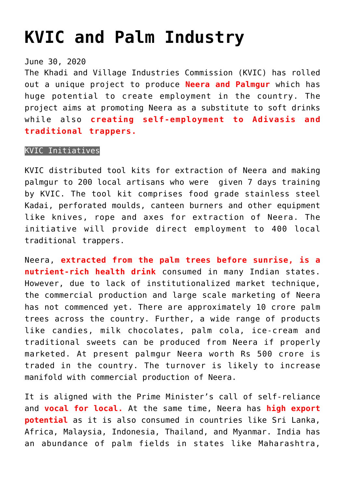## **[KVIC and Palm Industry](https://journalsofindia.com/kvic-and-palm-industry/)**

June 30, 2020

The Khadi and Village Industries Commission (KVIC) has rolled out a unique project to produce **Neera and Palmgur** which has huge potential to create employment in the country. The project aims at promoting Neera as a substitute to soft drinks while also **creating self-employment to Adivasis and traditional trappers.**

## KVIC Initiatives

KVIC distributed tool kits for extraction of Neera and making palmgur to 200 local artisans who were given 7 days training by KVIC. The tool kit comprises food grade stainless steel Kadai, perforated moulds, canteen burners and other equipment like knives, rope and axes for extraction of Neera. The initiative will provide direct employment to 400 local traditional trappers.

Neera, **extracted from the palm trees before sunrise, is a nutrient-rich health drink** consumed in many Indian states. However, due to lack of institutionalized market technique, the commercial production and large scale marketing of Neera has not commenced yet. There are approximately 10 crore palm trees across the country. Further, a wide range of products like candies, milk chocolates, palm cola, ice-cream and traditional sweets can be produced from Neera if properly marketed. At present palmgur Neera worth Rs 500 crore is traded in the country. The turnover is likely to increase manifold with commercial production of Neera.

It is aligned with the Prime Minister's call of self-reliance and **vocal for local.** At the same time, Neera has **high export potential** as it is also consumed in countries like Sri Lanka, Africa, Malaysia, Indonesia, Thailand, and Myanmar. India has an abundance of palm fields in states like Maharashtra,